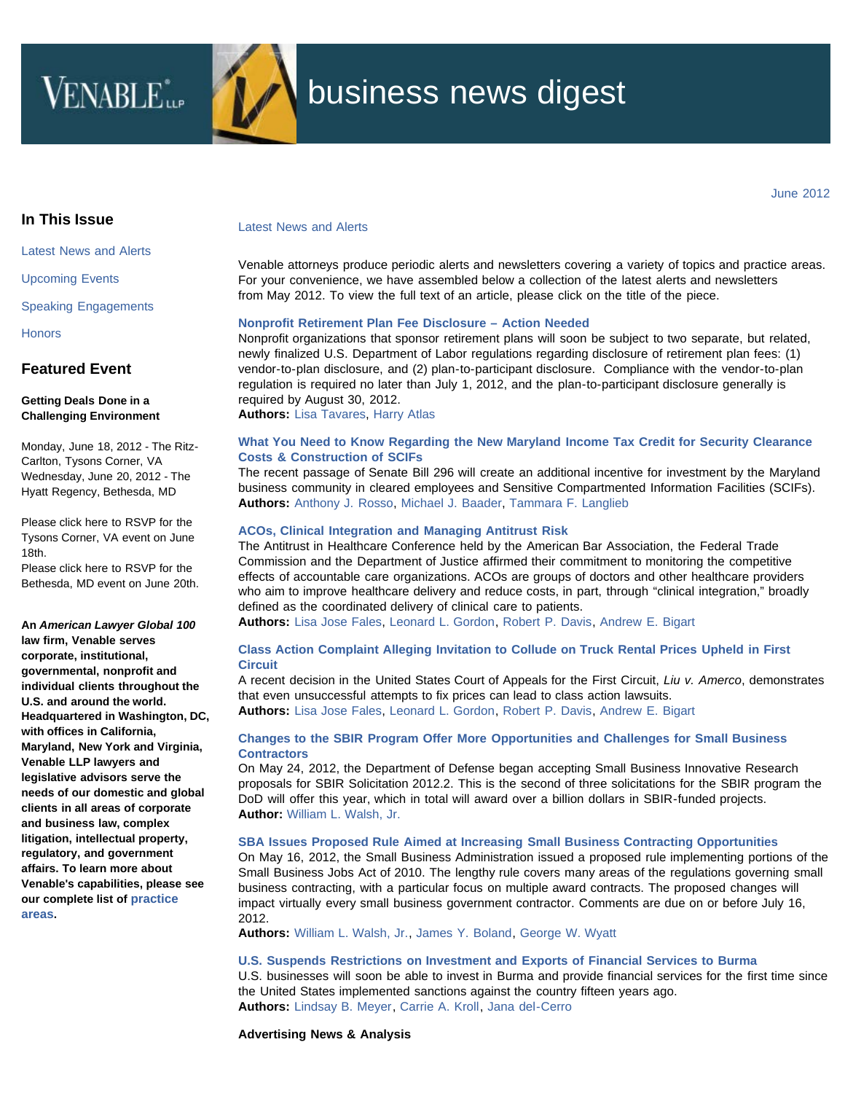

# business news digest

## <span id="page-0-2"></span><span id="page-0-1"></span><span id="page-0-0"></span>**In This Issue**

[Latest News and Alerts](#page-0-0)

[Upcoming Events](#page-1-0)

[Speaking Engagements](#page-0-1)

**[Honors](#page-0-1)** 

## **Featured Event**

#### **Getting Deals Done in a Challenging Environment**

Monday, June 18, 2012 - The Ritz-Carlton, Tysons Corner, VA Wednesday, June 20, 2012 - The Hyatt Regency, Bethesda, MD

Please click here to RSVP for the Tysons Corner, VA event on June 18th.

Please click here to RSVP for the Bethesda, MD event on June 20th.

**An** *American Lawyer Global 100* **law firm, Venable serves corporate, institutional, governmental, nonprofit and individual clients throughout the U.S. and around the world. Headquartered in Washington, DC, with offices in California, Maryland, New York and Virginia, Venable LLP lawyers and legislative advisors serve the needs of our domestic and global clients in all areas of corporate and business law, complex litigation, intellectual property, regulatory, and government affairs. To learn more about Venable's capabilities, please see our complete list of [practice](http://www.venable.com/services/) [areas.](http://www.venable.com/services/)**

#### Latest News and Alerts

Venable attorneys produce periodic alerts and newsletters covering a variety of topics and practice areas. For your convenience, we have assembled below a collection of the latest alerts and newsletters from May 2012. To view the full text of an article, please click on the title of the piece.

#### **[Nonprofit Retirement Plan Fee Disclosure – Action Needed](http://www.venable.com/nonprofit-retirement-plan-fee-disclosure--action-needed-05-29-2012/)**

Nonprofit organizations that sponsor retirement plans will soon be subject to two separate, but related, newly finalized U.S. Department of Labor regulations regarding disclosure of retirement plan fees: (1) vendor-to-plan disclosure, and (2) plan-to-participant disclosure. Compliance with the vendor-to-plan regulation is required no later than July 1, 2012, and the plan-to-participant disclosure generally is required by August 30, 2012.

**Authors:** [Lisa Tavares](http://www.venable.com/lisa-a-tavares/), [Harry Atlas](http://www.venable.com/harry-i-atlas/)

#### **[What You Need to Know Regarding the New Maryland Income Tax Credit for Security Clearance](http://www.venable.com/what-you-need-to-know-regarding-the-new-maryland-income-tax-credit-for-security-clearance-costs--construction-of-scifs-05-02-2012/) [Costs & Construction of SCIFs](http://www.venable.com/what-you-need-to-know-regarding-the-new-maryland-income-tax-credit-for-security-clearance-costs--construction-of-scifs-05-02-2012/)**

The recent passage of Senate Bill 296 will create an additional incentive for investment by the Maryland business community in cleared employees and Sensitive Compartmented Information Facilities (SCIFs). **Authors:** [Anthony J. Rosso](http://www.venable.com/anthony-j-rosso/), [Michael J. Baader,](http://www.venable.com/michael-j-baader/) [Tammara F. Langlieb](http://www.venable.com/tammara-f-langlieb/)

#### **[ACOs, Clinical Integration and Managing Antitrust Risk](http://www.venable.com/acos-clinical-integration-and-managing-antitrust-risk-05-09-2012/)**

The Antitrust in Healthcare Conference held by the American Bar Association, the Federal Trade Commission and the Department of Justice affirmed their commitment to monitoring the competitive effects of accountable care organizations. ACOs are groups of doctors and other healthcare providers who aim to improve healthcare delivery and reduce costs, in part, through "clinical integration," broadly defined as the coordinated delivery of clinical care to patients.

**Authors:** [Lisa Jose Fales](http://www.venable.com/lisa-j-fales/), [Leonard L. Gordon,](http://www.venable.com/leonard-l-gordon/) [Robert P. Davis](http://www.venable.com/robert-p-davis/), [Andrew E. Bigart](http://www.venable.com/andrew-e-bigart/)

#### **[Class Action Complaint Alleging Invitation to Collude on Truck Rental Prices Upheld in First](http://www.venable.com/class-action-complaint-alleging-invitation-to-collude-on-truck-rental-prices-upheld-in-first-circuit-05-23-2012/) [Circuit](http://www.venable.com/class-action-complaint-alleging-invitation-to-collude-on-truck-rental-prices-upheld-in-first-circuit-05-23-2012/)**

A recent decision in the United States Court of Appeals for the First Circuit, *Liu v. Amerco*, demonstrates that even unsuccessful attempts to fix prices can lead to class action lawsuits. **Authors:** [Lisa Jose Fales](http://www.venable.com/lisa-j-fales/), [Leonard L. Gordon,](http://www.venable.com/leonard-l-gordon/) [Robert P. Davis](http://www.venable.com/robert-p-davis/), [Andrew E. Bigart](http://www.venable.com/andrew-e-bigart/)

#### **[Changes to the SBIR Program Offer More Opportunities and Challenges for Small Business](http://www.venable.com/changes-to-the-sbir-program-offer-more-opportunities-and-challenges-for-small-business-contractors-05-24-2012/) [Contractors](http://www.venable.com/changes-to-the-sbir-program-offer-more-opportunities-and-challenges-for-small-business-contractors-05-24-2012/)**

On May 24, 2012, the Department of Defense began accepting Small Business Innovative Research proposals for SBIR Solicitation 2012.2. This is the second of three solicitations for the SBIR program the DoD will offer this year, which in total will award over a billion dollars in SBIR-funded projects. **Author:** [William L. Walsh, Jr.](http://www.venable.com/william-l-walsh/)

#### **[SBA Issues Proposed Rule Aimed at Increasing Small Business Contracting Opportunities](http://www.venable.com/sba-issues-proposed-rule-aimed-at-increasing-small-business-contracting-opportunities-05-18-2012/)**

On May 16, 2012, the Small Business Administration issued a proposed rule implementing portions of the Small Business Jobs Act of 2010. The lengthy rule covers many areas of the regulations governing small business contracting, with a particular focus on multiple award contracts. The proposed changes will impact virtually every small business government contractor. Comments are due on or before July 16, 2012.

**Authors:** [William L. Walsh, Jr.](http://www.venable.com/william-l-walsh/), [James Y. Boland,](http://www.venable.com/james-y-boland/) [George W. Wyatt](http://www.venable.com/george-w-wyatt/)

#### **[U.S. Suspends Restrictions on Investment and Exports of Financial Services to Burma](http://www.venable.com/us-suspends-restrictions-on-investment-and-exports-of-financial-services-to-burma-05-24-2012/)**

U.S. businesses will soon be able to invest in Burma and provide financial services for the first time since the United States implemented sanctions against the country fifteen years ago. **Authors:** [Lindsay B. Meyer](http://www.venable.com/lindsay-b-meyer/), [Carrie A. Kroll,](http://www.venable.com/carrie-a-kroll/) [Jana del-Cerro](http://www.venable.com/jana-del-cerro/)

**Advertising News & Analysis**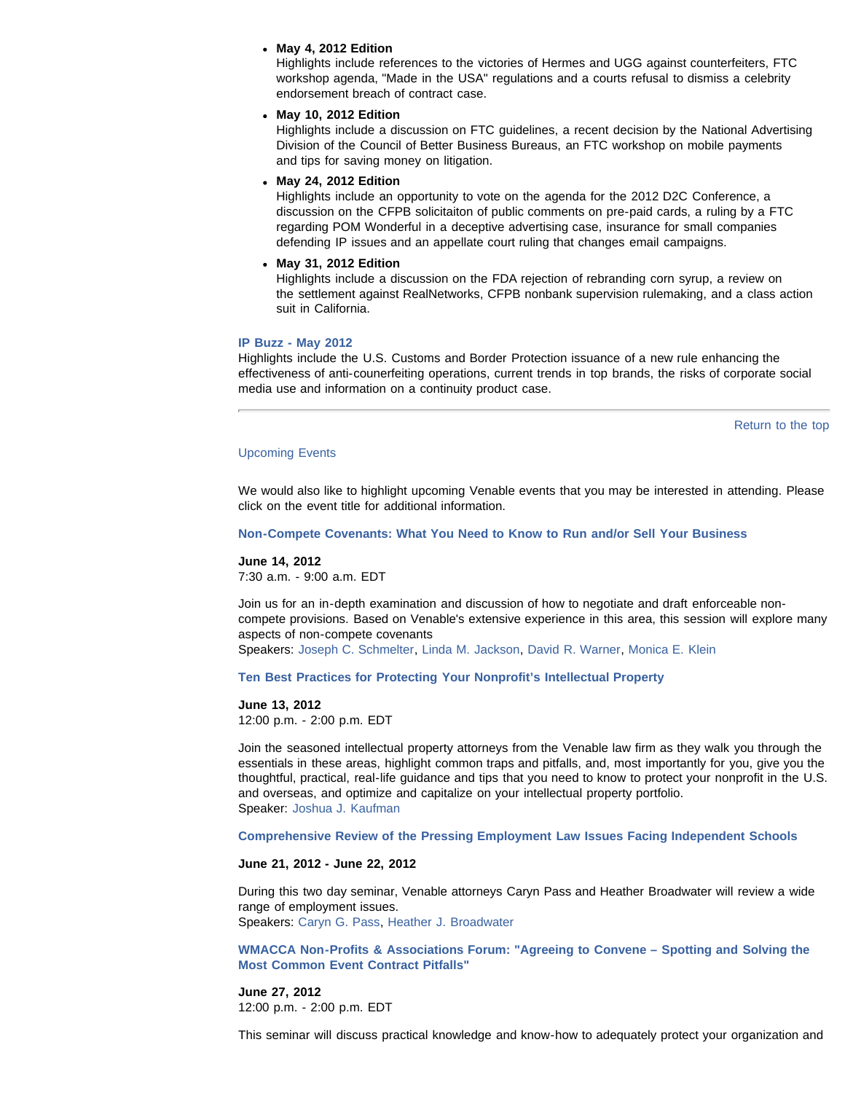#### **May 4, 2012 Edition**

Highlights include references to the victories of Hermes and UGG against counterfeiters, FTC workshop agenda, "Made in the USA" regulations and a courts refusal to dismiss a celebrity endorsement breach of contract case.

**May 10, 2012 Edition**

Highlights include a discussion on FTC guidelines, a recent decision by the National Advertising Division of the Council of Better Business Bureaus, an FTC workshop on mobile payments and tips for saving money on litigation.

**May 24, 2012 Edition**

Highlights include an opportunity to vote on the agenda for the 2012 D2C Conference, a discussion on the CFPB solicitaiton of public comments on pre-paid cards, a ruling by a FTC regarding POM Wonderful in a deceptive advertising case, insurance for small companies defending IP issues and an appellate court ruling that changes email campaigns.

**May 31, 2012 Edition**

Highlights include a discussion on the FDA rejection of rebranding corn syrup, a review on the settlement against RealNetworks, CFPB nonbank supervision rulemaking, and a class action suit in California.

#### **[IP Buzz - May 2012](http://www.venable.com/files/Publication/fd4112f6-eede-4438-b424-0ebaff26f41d/Presentation/PublicationAttachment/5334e7b8-6416-4071-9c92-469cf367f9bf/IP_Buzz--May_2012.pdf)**

Highlights include the U.S. Customs and Border Protection issuance of a new rule enhancing the effectiveness of anti-counerfeiting operations, current trends in top brands, the risks of corporate social media use and information on a continuity product case.

```
Return to the top
```
#### <span id="page-1-0"></span>Upcoming Events

We would also like to highlight upcoming Venable events that you may be interested in attending. Please click on the event title for additional information.

**[Non-Compete Covenants: What You Need to Know to Run and/or Sell Your Business](http://www.venable.com/non-compete-covenants-what-you-need-to-know-to-run-andor-sell-your-business-06-14-2012/)**

**June 14, 2012** 7:30 a.m. - 9:00 a.m. EDT

Join us for an in-depth examination and discussion of how to negotiate and draft enforceable noncompete provisions. Based on Venable's extensive experience in this area, this session will explore many aspects of non-compete covenants Speakers: [Joseph C. Schmelter](http://www.venable.com/joseph-c-schmelter/), [Linda M. Jackson,](http://www.venable.com/linda-m-jackson/) [David R. Warner](http://www.venable.com/david-r-warner/), [Monica E. Klein](http://www.venable.com/monica-e-klein/)

**[Ten Best Practices for Protecting Your Nonprofit's Intellectual Property](http://www.venable.com/ten-best-practices-for-protecting-your-nonprofits-intellectual-property-06-13-2012/)**

## **June 13, 2012**

12:00 p.m. - 2:00 p.m. EDT

Join the seasoned intellectual property attorneys from the Venable law firm as they walk you through the essentials in these areas, highlight common traps and pitfalls, and, most importantly for you, give you the thoughtful, practical, real-life guidance and tips that you need to know to protect your nonprofit in the U.S. and overseas, and optimize and capitalize on your intellectual property portfolio. Speaker: [Joshua J. Kaufman](http://www.venable.com/joshua-j-kaufman/)

**[Comprehensive Review of the Pressing Employment Law Issues Facing Independent Schools](http://www.venable.com/comprehensive-review-of-the-pressing-employment-law-issues-facing-independent-schools-for-sais-05-21-2012/)**

#### **June 21, 2012 - June 22, 2012**

During this two day seminar, Venable attorneys Caryn Pass and Heather Broadwater will review a wide range of employment issues. Speakers: [Caryn G. Pass](http://www.venable.com/caryn-g-pass/), [Heather J. Broadwater](http://www.venable.com/heather-j-broadwater/)

**[WMACCA Non-Profits & Associations Forum: "Agreeing to Convene – Spotting and Solving the](http://www.venable.com/wmacca-non-profits--associations-forum--agreeing-to-convene--how-to-spot-and-solve-the-most-common-meeting-contracting-pitfalls-06-27-2012/) [Most Common Event Contract Pitfalls"](http://www.venable.com/wmacca-non-profits--associations-forum--agreeing-to-convene--how-to-spot-and-solve-the-most-common-meeting-contracting-pitfalls-06-27-2012/)**

**June 27, 2012** 12:00 p.m. - 2:00 p.m. EDT

This seminar will discuss practical knowledge and know-how to adequately protect your organization and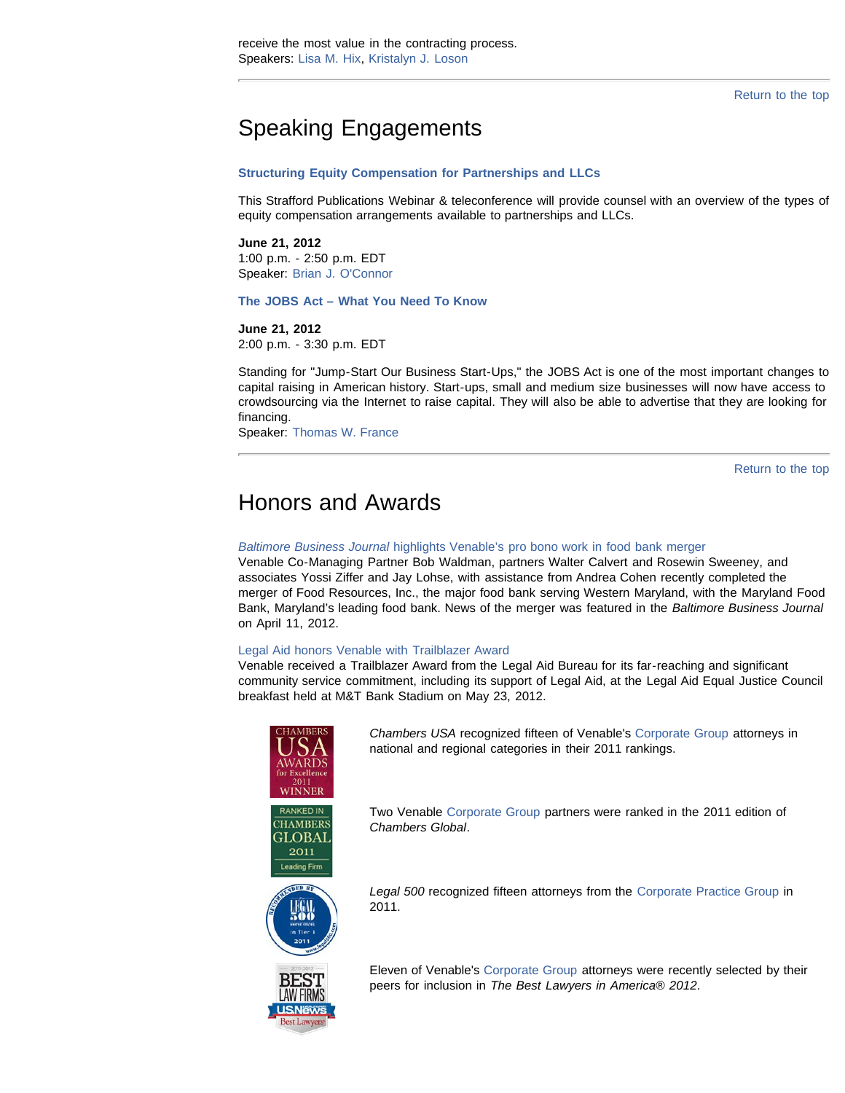[Return to the top](#page-0-2)

# Speaking Engagements

#### **[Structuring Equity Compensation for Partnerships and LLCs](http://www.straffordpub.com/products/structuring-equity-compensation-for-partnerships-and-llcs-2012-06-21)**

This Strafford Publications Webinar & teleconference will provide counsel with an overview of the types of equity compensation arrangements available to partnerships and LLCs.

#### **June 21, 2012**

1:00 p.m. - 2:50 p.m. EDT Speaker: [Brian J. O'Connor](http://www.venable.com/brian-j-oconnor/)

**[The JOBS Act – What You Need To Know](http://www.globaltoyexperts.com/#!__webinar-general)**

#### **June 21, 2012**

2:00 p.m. - 3:30 p.m. EDT

Standing for "Jump-Start Our Business Start-Ups," the JOBS Act is one of the most important changes to capital raising in American history. Start-ups, small and medium size businesses will now have access to crowdsourcing via the Internet to raise capital. They will also be able to advertise that they are looking for financing.

Speaker: [Thomas W. France](http://www.venable.com/thomas-w-france/)

[Return to the top](#page-0-2)

# Honors and Awards

#### *[Baltimore Business Journal](http://www.venable.com/baltimore-business-journal-highlights-venables-pro-bono-work-in-food-bank-merger-05-15-2012/)* [highlights Venable's pro bono work in food bank merger](http://www.venable.com/baltimore-business-journal-highlights-venables-pro-bono-work-in-food-bank-merger-05-15-2012/)

Venable Co-Managing Partner Bob Waldman, partners Walter Calvert and Rosewin Sweeney, and associates Yossi Ziffer and Jay Lohse, with assistance from Andrea Cohen recently completed the merger of Food Resources, Inc., the major food bank serving Western Maryland, with the Maryland Food Bank, Maryland's leading food bank. News of the merger was featured in the *Baltimore Business Journal* on April 11, 2012.

#### [Legal Aid honors Venable with Trailblazer Award](http://www.venable.com/legal-aid-honors-venable-with-trailblazer-award-05-24-2012/)

Venable received a Trailblazer Award from the Legal Aid Bureau for its far-reaching and significant community service commitment, including its support of Legal Aid, at the Legal Aid Equal Justice Council breakfast held at M&T Bank Stadium on May 23, 2012.





Two Venable [Corporate Group](http://www.venable.com/corporate/) partners were ranked in the 2011 edition of *Chambers Global*.

*Legal 500* recognized fifteen attorneys from the [Corporate Practice Group](http://www.venable.com/corporate/) in 2011.

Eleven of Venable's [Corporate Group](http://www.venable.com/corporate/) attorneys were recently selected by their peers for inclusion in *The Best Lawyers in America® 2012*.